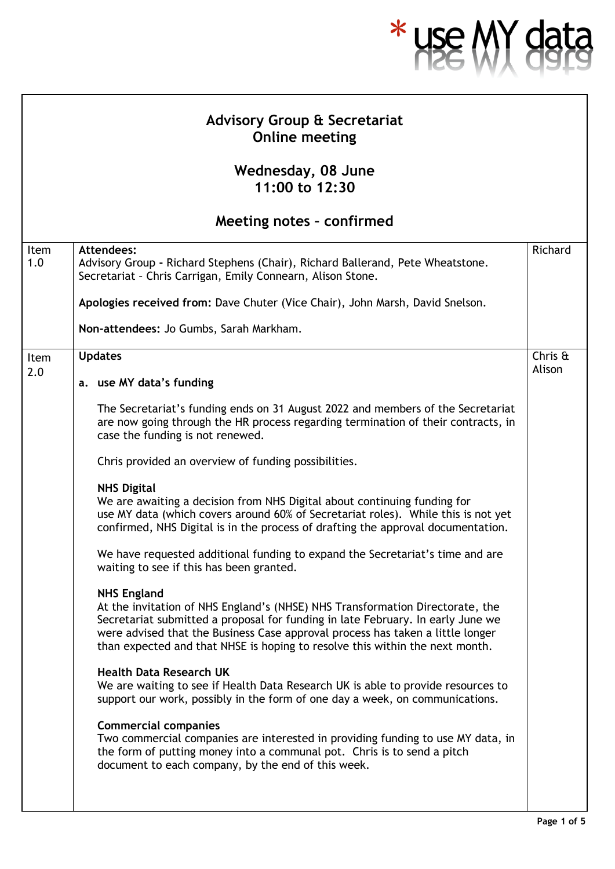## **Advisory Group & Secretariat Online meeting**

\* use

## **Wednesday, 08 June 11:00 to 12:30**

| Meeting notes - confirmed |                                                                                                                                                                                                                                                                                                                                                          |                   |
|---------------------------|----------------------------------------------------------------------------------------------------------------------------------------------------------------------------------------------------------------------------------------------------------------------------------------------------------------------------------------------------------|-------------------|
| Item<br>1.0               | Attendees:<br>Advisory Group - Richard Stephens (Chair), Richard Ballerand, Pete Wheatstone.<br>Secretariat - Chris Carrigan, Emily Connearn, Alison Stone.                                                                                                                                                                                              | Richard           |
|                           | Apologies received from: Dave Chuter (Vice Chair), John Marsh, David Snelson.                                                                                                                                                                                                                                                                            |                   |
|                           | Non-attendees: Jo Gumbs, Sarah Markham.                                                                                                                                                                                                                                                                                                                  |                   |
| Item<br>2.0               | <b>Updates</b>                                                                                                                                                                                                                                                                                                                                           | Chris &<br>Alison |
|                           | a. use MY data's funding                                                                                                                                                                                                                                                                                                                                 |                   |
|                           | The Secretariat's funding ends on 31 August 2022 and members of the Secretariat<br>are now going through the HR process regarding termination of their contracts, in<br>case the funding is not renewed.                                                                                                                                                 |                   |
|                           | Chris provided an overview of funding possibilities.                                                                                                                                                                                                                                                                                                     |                   |
|                           | <b>NHS Digital</b><br>We are awaiting a decision from NHS Digital about continuing funding for<br>use MY data (which covers around 60% of Secretariat roles). While this is not yet<br>confirmed, NHS Digital is in the process of drafting the approval documentation.                                                                                  |                   |
|                           | We have requested additional funding to expand the Secretariat's time and are<br>waiting to see if this has been granted.                                                                                                                                                                                                                                |                   |
|                           | <b>NHS England</b><br>At the invitation of NHS England's (NHSE) NHS Transformation Directorate, the<br>Secretariat submitted a proposal for funding in late February. In early June we<br>were advised that the Business Case approval process has taken a little longer<br>than expected and that NHSE is hoping to resolve this within the next month. |                   |
|                           | <b>Health Data Research UK</b><br>We are waiting to see if Health Data Research UK is able to provide resources to<br>support our work, possibly in the form of one day a week, on communications.                                                                                                                                                       |                   |
|                           | <b>Commercial companies</b><br>Two commercial companies are interested in providing funding to use MY data, in<br>the form of putting money into a communal pot. Chris is to send a pitch<br>document to each company, by the end of this week.                                                                                                          |                   |
|                           |                                                                                                                                                                                                                                                                                                                                                          |                   |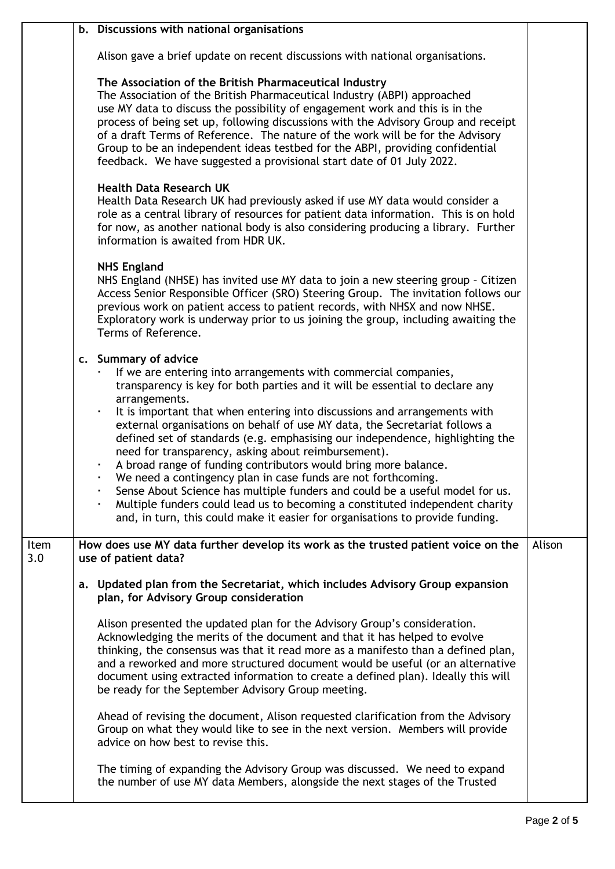|             | b. Discussions with national organisations                                                                                                                                                                                                                                                                                                                                                                                                                                                                                                                                                                                                                                                                                                                                                                                                                                                        |        |
|-------------|---------------------------------------------------------------------------------------------------------------------------------------------------------------------------------------------------------------------------------------------------------------------------------------------------------------------------------------------------------------------------------------------------------------------------------------------------------------------------------------------------------------------------------------------------------------------------------------------------------------------------------------------------------------------------------------------------------------------------------------------------------------------------------------------------------------------------------------------------------------------------------------------------|--------|
|             |                                                                                                                                                                                                                                                                                                                                                                                                                                                                                                                                                                                                                                                                                                                                                                                                                                                                                                   |        |
|             | Alison gave a brief update on recent discussions with national organisations.                                                                                                                                                                                                                                                                                                                                                                                                                                                                                                                                                                                                                                                                                                                                                                                                                     |        |
|             | The Association of the British Pharmaceutical Industry<br>The Association of the British Pharmaceutical Industry (ABPI) approached<br>use MY data to discuss the possibility of engagement work and this is in the<br>process of being set up, following discussions with the Advisory Group and receipt<br>of a draft Terms of Reference. The nature of the work will be for the Advisory<br>Group to be an independent ideas testbed for the ABPI, providing confidential<br>feedback. We have suggested a provisional start date of 01 July 2022.                                                                                                                                                                                                                                                                                                                                              |        |
|             | <b>Health Data Research UK</b><br>Health Data Research UK had previously asked if use MY data would consider a<br>role as a central library of resources for patient data information. This is on hold<br>for now, as another national body is also considering producing a library. Further<br>information is awaited from HDR UK.                                                                                                                                                                                                                                                                                                                                                                                                                                                                                                                                                               |        |
|             | <b>NHS England</b><br>NHS England (NHSE) has invited use MY data to join a new steering group - Citizen<br>Access Senior Responsible Officer (SRO) Steering Group. The invitation follows our<br>previous work on patient access to patient records, with NHSX and now NHSE.<br>Exploratory work is underway prior to us joining the group, including awaiting the<br>Terms of Reference.                                                                                                                                                                                                                                                                                                                                                                                                                                                                                                         |        |
|             | c. Summary of advice<br>If we are entering into arrangements with commercial companies,<br>transparency is key for both parties and it will be essential to declare any<br>arrangements.<br>It is important that when entering into discussions and arrangements with<br>external organisations on behalf of use MY data, the Secretariat follows a<br>defined set of standards (e.g. emphasising our independence, highlighting the<br>need for transparency, asking about reimbursement).<br>A broad range of funding contributors would bring more balance.<br>$\blacksquare$<br>We need a contingency plan in case funds are not forthcoming<br>Sense About Science has multiple funders and could be a useful model for us.<br>Multiple funders could lead us to becoming a constituted independent charity<br>and, in turn, this could make it easier for organisations to provide funding. |        |
| Item<br>3.0 | How does use MY data further develop its work as the trusted patient voice on the<br>use of patient data?                                                                                                                                                                                                                                                                                                                                                                                                                                                                                                                                                                                                                                                                                                                                                                                         | Alison |
|             | a. Updated plan from the Secretariat, which includes Advisory Group expansion<br>plan, for Advisory Group consideration                                                                                                                                                                                                                                                                                                                                                                                                                                                                                                                                                                                                                                                                                                                                                                           |        |
|             | Alison presented the updated plan for the Advisory Group's consideration.<br>Acknowledging the merits of the document and that it has helped to evolve<br>thinking, the consensus was that it read more as a manifesto than a defined plan,<br>and a reworked and more structured document would be useful (or an alternative<br>document using extracted information to create a defined plan). Ideally this will<br>be ready for the September Advisory Group meeting.                                                                                                                                                                                                                                                                                                                                                                                                                          |        |
|             | Ahead of revising the document, Alison requested clarification from the Advisory<br>Group on what they would like to see in the next version. Members will provide<br>advice on how best to revise this.                                                                                                                                                                                                                                                                                                                                                                                                                                                                                                                                                                                                                                                                                          |        |
|             | The timing of expanding the Advisory Group was discussed. We need to expand<br>the number of use MY data Members, alongside the next stages of the Trusted                                                                                                                                                                                                                                                                                                                                                                                                                                                                                                                                                                                                                                                                                                                                        |        |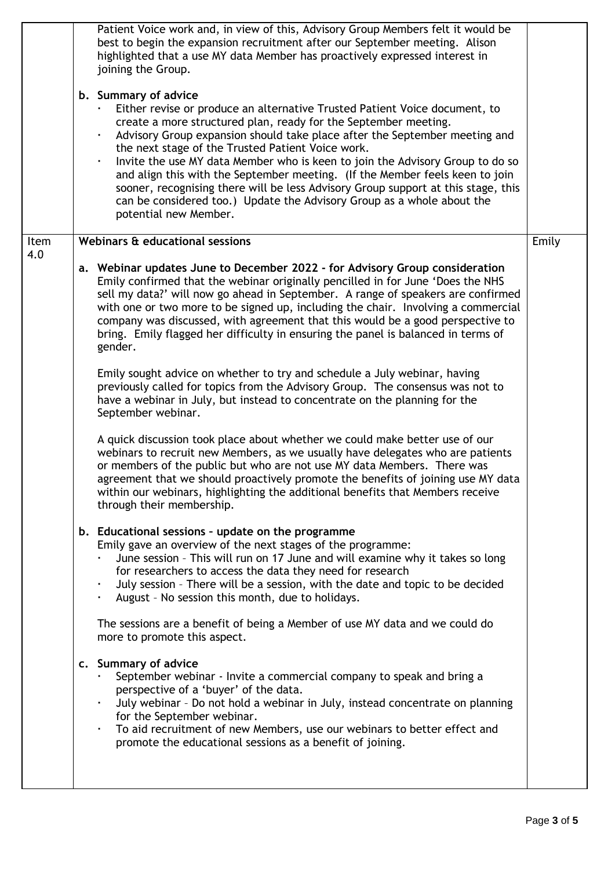|      | Patient Voice work and, in view of this, Advisory Group Members felt it would be<br>best to begin the expansion recruitment after our September meeting. Alison<br>highlighted that a use MY data Member has proactively expressed interest in<br>joining the Group.<br>b. Summary of advice<br>Either revise or produce an alternative Trusted Patient Voice document, to<br>create a more structured plan, ready for the September meeting.<br>Advisory Group expansion should take place after the September meeting and<br>$\blacksquare$<br>the next stage of the Trusted Patient Voice work.<br>Invite the use MY data Member who is keen to join the Advisory Group to do so<br>$\blacksquare$<br>and align this with the September meeting. (If the Member feels keen to join<br>sooner, recognising there will be less Advisory Group support at this stage, this<br>can be considered too.) Update the Advisory Group as a whole about the<br>potential new Member. |       |
|------|-------------------------------------------------------------------------------------------------------------------------------------------------------------------------------------------------------------------------------------------------------------------------------------------------------------------------------------------------------------------------------------------------------------------------------------------------------------------------------------------------------------------------------------------------------------------------------------------------------------------------------------------------------------------------------------------------------------------------------------------------------------------------------------------------------------------------------------------------------------------------------------------------------------------------------------------------------------------------------|-------|
| Item | Webinars & educational sessions                                                                                                                                                                                                                                                                                                                                                                                                                                                                                                                                                                                                                                                                                                                                                                                                                                                                                                                                               | Emily |
| 4.0  | a. Webinar updates June to December 2022 - for Advisory Group consideration<br>Emily confirmed that the webinar originally pencilled in for June 'Does the NHS<br>sell my data?' will now go ahead in September. A range of speakers are confirmed<br>with one or two more to be signed up, including the chair. Involving a commercial<br>company was discussed, with agreement that this would be a good perspective to<br>bring. Emily flagged her difficulty in ensuring the panel is balanced in terms of<br>gender.<br>Emily sought advice on whether to try and schedule a July webinar, having<br>previously called for topics from the Advisory Group. The consensus was not to<br>have a webinar in July, but instead to concentrate on the planning for the<br>September webinar.<br>A quick discussion took place about whether we could make better use of our                                                                                                   |       |
|      | webinars to recruit new Members, as we usually have delegates who are patients<br>or members of the public but who are not use MY data Members. There was<br>agreement that we should proactively promote the benefits of joining use MY data<br>within our webinars, highlighting the additional benefits that Members receive<br>through their membership.                                                                                                                                                                                                                                                                                                                                                                                                                                                                                                                                                                                                                  |       |
|      | b. Educational sessions - update on the programme<br>Emily gave an overview of the next stages of the programme:<br>June session - This will run on 17 June and will examine why it takes so long<br>for researchers to access the data they need for research<br>July session - There will be a session, with the date and topic to be decided<br>August - No session this month, due to holidays.<br>$\blacksquare$<br>The sessions are a benefit of being a Member of use MY data and we could do                                                                                                                                                                                                                                                                                                                                                                                                                                                                          |       |
|      | more to promote this aspect.                                                                                                                                                                                                                                                                                                                                                                                                                                                                                                                                                                                                                                                                                                                                                                                                                                                                                                                                                  |       |
|      | c. Summary of advice<br>September webinar - Invite a commercial company to speak and bring a<br>perspective of a 'buyer' of the data.<br>July webinar - Do not hold a webinar in July, instead concentrate on planning<br>$\blacksquare$<br>for the September webinar.<br>To aid recruitment of new Members, use our webinars to better effect and<br>$\blacksquare$<br>promote the educational sessions as a benefit of joining.                                                                                                                                                                                                                                                                                                                                                                                                                                                                                                                                             |       |
|      |                                                                                                                                                                                                                                                                                                                                                                                                                                                                                                                                                                                                                                                                                                                                                                                                                                                                                                                                                                               |       |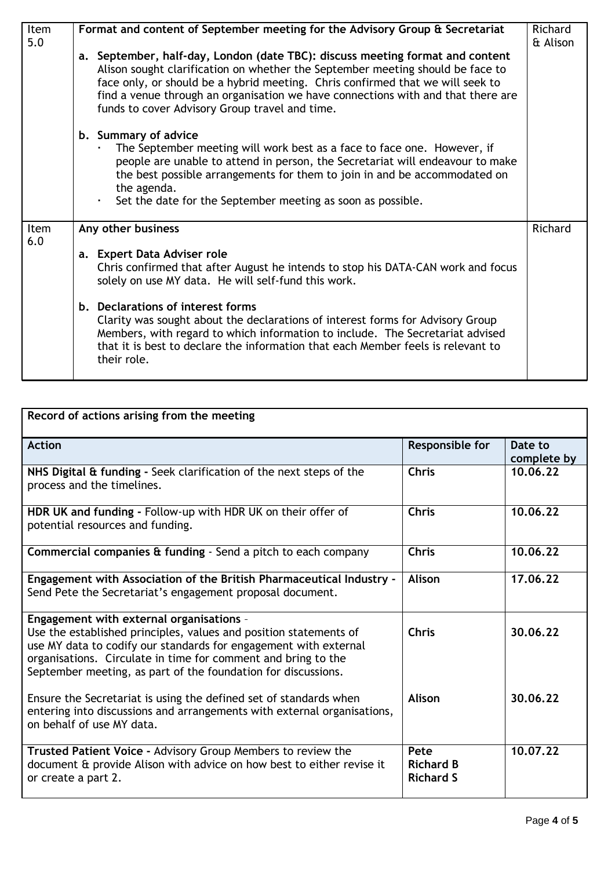| Item<br>5.0 | Format and content of September meeting for the Advisory Group & Secretariat                                                                                                                                                                                                                                                                                                            | Richard<br>& Alison |
|-------------|-----------------------------------------------------------------------------------------------------------------------------------------------------------------------------------------------------------------------------------------------------------------------------------------------------------------------------------------------------------------------------------------|---------------------|
|             | a. September, half-day, London (date TBC): discuss meeting format and content<br>Alison sought clarification on whether the September meeting should be face to<br>face only, or should be a hybrid meeting. Chris confirmed that we will seek to<br>find a venue through an organisation we have connections with and that there are<br>funds to cover Advisory Group travel and time. |                     |
|             | b. Summary of advice<br>The September meeting will work best as a face to face one. However, if<br>people are unable to attend in person, the Secretariat will endeavour to make<br>the best possible arrangements for them to join in and be accommodated on<br>the agenda.<br>Set the date for the September meeting as soon as possible.                                             |                     |
| Item<br>6.0 | Any other business                                                                                                                                                                                                                                                                                                                                                                      | Richard             |
|             | a. Expert Data Adviser role<br>Chris confirmed that after August he intends to stop his DATA-CAN work and focus<br>solely on use MY data. He will self-fund this work.                                                                                                                                                                                                                  |                     |
|             | b. Declarations of interest forms<br>Clarity was sought about the declarations of interest forms for Advisory Group<br>Members, with regard to which information to include. The Secretariat advised<br>that it is best to declare the information that each Member feels is relevant to<br>their role.                                                                                 |                     |

| Record of actions arising from the meeting                                                                                                                                                                                                                                                                                 |                                              |                        |
|----------------------------------------------------------------------------------------------------------------------------------------------------------------------------------------------------------------------------------------------------------------------------------------------------------------------------|----------------------------------------------|------------------------|
| <b>Action</b>                                                                                                                                                                                                                                                                                                              | Responsible for                              | Date to<br>complete by |
| NHS Digital & funding - Seek clarification of the next steps of the<br>process and the timelines.                                                                                                                                                                                                                          | <b>Chris</b>                                 | 10.06.22               |
| HDR UK and funding - Follow-up with HDR UK on their offer of<br>potential resources and funding.                                                                                                                                                                                                                           | <b>Chris</b>                                 | 10.06.22               |
| Commercial companies & funding - Send a pitch to each company                                                                                                                                                                                                                                                              | <b>Chris</b>                                 | 10.06.22               |
| Engagement with Association of the British Pharmaceutical Industry -<br>Send Pete the Secretariat's engagement proposal document.                                                                                                                                                                                          | Alison                                       | 17.06.22               |
| <b>Engagement with external organisations -</b><br>Use the established principles, values and position statements of<br>use MY data to codify our standards for engagement with external<br>organisations. Circulate in time for comment and bring to the<br>September meeting, as part of the foundation for discussions. | <b>Chris</b>                                 | 30.06.22               |
| Ensure the Secretariat is using the defined set of standards when<br>entering into discussions and arrangements with external organisations,<br>on behalf of use MY data.                                                                                                                                                  | Alison                                       | 30.06.22               |
| Trusted Patient Voice - Advisory Group Members to review the<br>document & provide Alison with advice on how best to either revise it<br>or create a part 2.                                                                                                                                                               | Pete<br><b>Richard B</b><br><b>Richard S</b> | 10.07.22               |